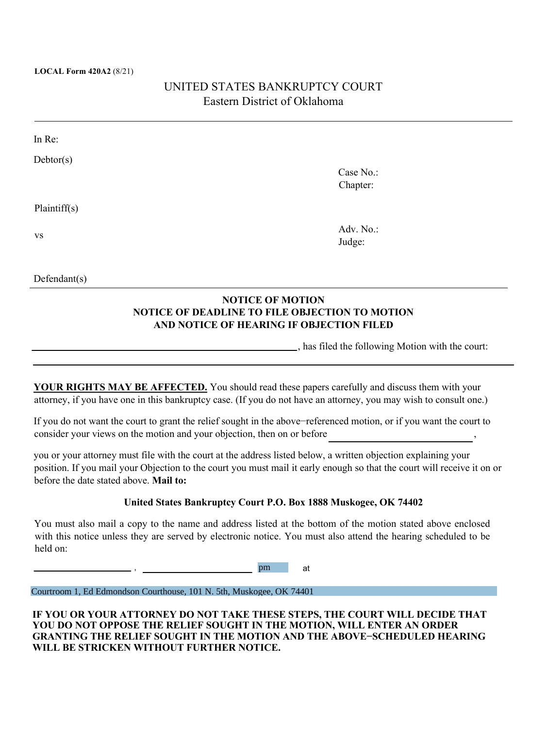#### **LOCAL Form 420A2** (8/21)

# UNITED STATES BANKRUPTCY COURT Eastern District of Oklahoma

| In Re:       |           |  |
|--------------|-----------|--|
| Dektor(s)    |           |  |
|              | Case No.: |  |
|              | Chapter:  |  |
| Plaintiff(s) |           |  |
| VS           | Adv. No.: |  |
|              | Judge:    |  |
|              |           |  |
|              |           |  |

### **NOTICE OF MOTION NOTICE OF DEADLINE TO FILE OBJECTION TO MOTION AND NOTICE OF HEARING IF OBJECTION FILED**

, has filed the following Motion with the court:

**YOUR RIGHTS MAY BE AFFECTED.** You should read these papers carefully and discuss them with your attorney, if you have one in this bankruptcy case. (If you do not have an attorney, you may wish to consult one.)

If you do not want the court to grant the relief sought in the above−referenced motion, or if you want the court to consider your views on the motion and your objection, then on or before

you or your attorney must file with the court at the address listed below, a written objection explaining your position. If you mail your Objection to the court you must mail it early enough so that the court will receive it on or before the date stated above. **Mail to:**

#### **United States Bankruptcy Court P.O. Box 1888 Muskogee, OK 74402**

You must also mail a copy to the name and address listed at the bottom of the motion stated above enclosed with this notice unless they are served by electronic notice. You must also attend the hearing scheduled to be held on:

> , pm at

Courtroom 1, Ed Edmondson Courthouse, 101 N. 5th, Muskogee, OK 74401

#### **IF YOU OR YOUR ATTORNEY DO NOT TAKE THESE STEPS, THE COURT WILL DECIDE THAT YOU DO NOT OPPOSE THE RELIEF SOUGHT IN THE MOTION, WILL ENTER AN ORDER GRANTING THE RELIEF SOUGHT IN THE MOTION AND THE ABOVE−SCHEDULED HEARING WILL BE STRICKEN WITHOUT FURTHER NOTICE.**

Defendant(s)